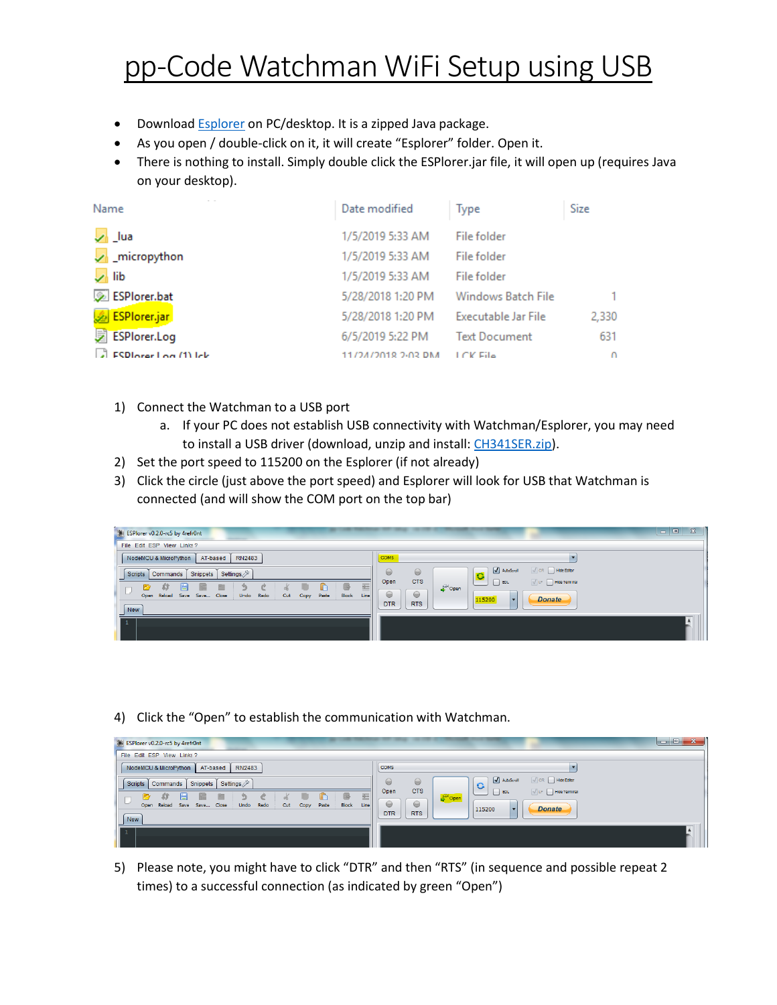## pp-Code Watchman WiFi Setup using USB

- Download **Esplorer** on PC/desktop. It is a zipped Java package.
- As you open / double-click on it, it will create "Esplorer" folder. Open it.
- There is nothing to install. Simply double click the ESPlorer.jar file, it will open up (requires Java on your desktop).

| Name                  | Date modified      | <b>Type</b>          | Size     |
|-----------------------|--------------------|----------------------|----------|
| $\sqrt{ }$ Lua        | 1/5/2019 5:33 AM   | File folder          |          |
| micropython           | 1/5/2019 5:33 AM   | File folder          |          |
| $\sqrt{ }$ lib        | 1/5/2019 5:33 AM   | File folder          |          |
| ESPlorer.bat          | 5/28/2018 1:20 PM  | Windows Batch File   |          |
| ESPlorer.jar          | 5/28/2018 1:20 PM  | Executable Jar File  | 2,330    |
| <b>2 ESPlorer.Log</b> | 6/5/2019 5:22 PM   | <b>Text Document</b> | 631      |
| ESPLorer Log (1) lek  | 11/24/2018 2-02 DM | <b>LCV File</b>      | $\Omega$ |

- 1) Connect the Watchman to a USB port
	- a. If your PC does not establish USB connectivity with Watchman/Esplorer, you may need to install a USB driver (download, unzip and install[: CH341SER.zip\)](https://pp-codepaypal.azurewebsites.net/CH341SER.zip).
- 2) Set the port speed to 115200 on the Esplorer (if not already)
- 3) Click the circle (just above the port speed) and Esplorer will look for USB that Watchman is connected (and will show the COM port on the top bar)

| ESPlorer v0.2.0-rc5 by 4refr0nt                                                                                                                              | $\mathbb{Z}$<br>$\overline{\phantom{a}}$ . $\overline{\phantom{a}}$                   |
|--------------------------------------------------------------------------------------------------------------------------------------------------------------|---------------------------------------------------------------------------------------|
| File Edit ESP View Links?                                                                                                                                    |                                                                                       |
| NodeMCU & MicroPython<br>AT-based<br><b>RN2483</b>                                                                                                           | COM5                                                                                  |
| Settings<br>Snippets<br>Commands<br><b>Scripts</b>                                                                                                           | AutoScroll<br>$\sqrt{CR}$ Hide Editor<br>$\ominus$<br>$\ominus$<br>$\bullet$          |
| <b>B</b><br>藍<br>ak.<br>à<br>m<br>÷<br>m<br>£Ť<br>↬<br>ᆷ<br>Block<br>Reload<br>Close<br>Undo<br>Redo<br>Paste<br>Line<br>Save<br>Save<br>Open<br>Cut<br>Copy | <b>CTS</b><br>Open<br>$\sqrt{1}$ LF $\Box$ Hide Terminal<br>$ $ BOL<br>Open<br>⊜<br>⊌ |
| New                                                                                                                                                          | <b>Donate</b><br>115200<br><b>RTS</b><br><b>DTR</b>                                   |
|                                                                                                                                                              |                                                                                       |
|                                                                                                                                                              |                                                                                       |

4) Click the "Open" to establish the communication with Watchman.

| ESPlorer v0.2.0-rc5 by 4refr0nt                                                                   | $-$ 0 $-$                                                                                                                        | $\mathbf{x}$ |
|---------------------------------------------------------------------------------------------------|----------------------------------------------------------------------------------------------------------------------------------|--------------|
| File Edit ESP View Links?                                                                         |                                                                                                                                  |              |
| NodeMCU & MicroPython<br><b>RN2483</b><br>AT-based                                                | COM5                                                                                                                             |              |
| Settings<br>Snippets<br>Scripts<br>Commands                                                       | AutoScroll<br>$\sqrt{CR}$ Hide Editor<br>$\ominus$<br>$\Theta$<br>G<br><b>CTS</b>                                                |              |
| 亖<br>B<br>Block<br>Reload Save Save Close<br>Undo<br>Redo<br>Paste<br>Line<br>Cut<br>Copy<br>Open | Open<br>$\sqrt{LF}$ Hide Terminal<br>$\overline{\phantom{a}}$ BOL<br>pulled by Open<br>$\ominus$<br>⋓<br><b>Donate</b><br>115200 |              |
| New                                                                                               | <b>RTS</b><br><b>DTR</b>                                                                                                         |              |
|                                                                                                   |                                                                                                                                  |              |

5) Please note, you might have to click "DTR" and then "RTS" (in sequence and possible repeat 2 times) to a successful connection (as indicated by green "Open")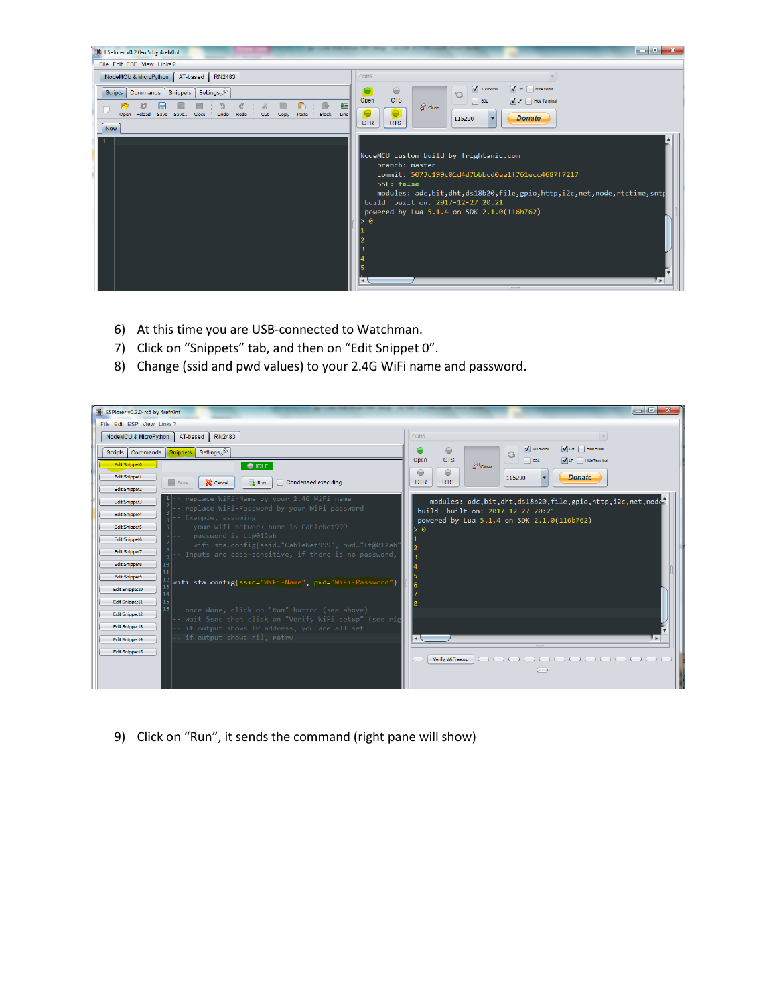

- 6) At this time you are USB-connected to Watchman.
- 7) Click on "Snippets" tab, and then on "Edit Snippet 0".
- 8) Change (ssid and pwd values) to your 2.4G WiFi name and password.



9) Click on "Run", it sends the command (right pane will show)